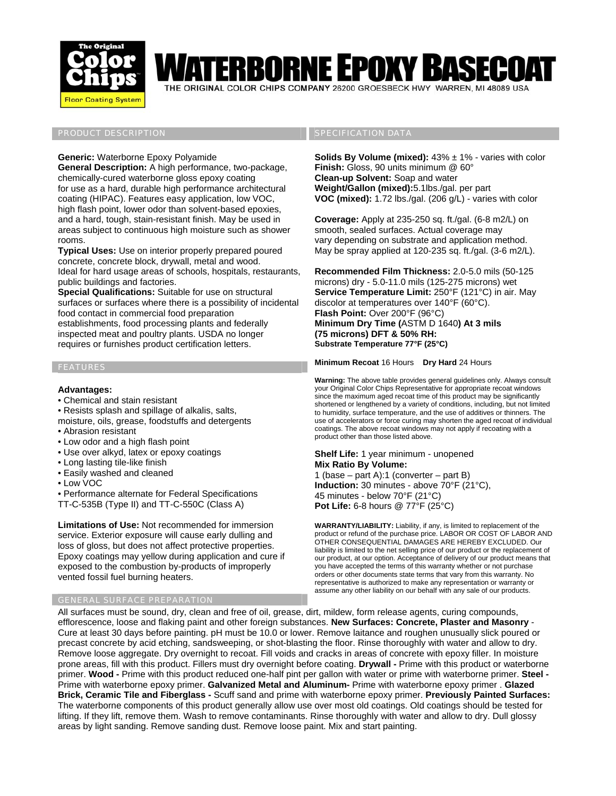

# BORNE EPOXY BA

THE ORIGINAL COLOR CHIPS COMPANY 26200 GROESBECK HWY WARREN, MI 48089 USA

# PRODUCT DESCRIPTION AND RESERVE THE SPECIFICATION DATA

## **Generic:** Waterborne Epoxy Polyamide

**General Description:** A high performance, two-package, chemically-cured waterborne gloss epoxy coating for use as a hard, durable high performance architectural coating (HIPAC). Features easy application, low VOC, high flash point, lower odor than solvent-based epoxies, and a hard, tough, stain-resistant finish. May be used in areas subject to continuous high moisture such as shower rooms.

**Typical Uses:** Use on interior properly prepared poured concrete, concrete block, drywall, metal and wood. Ideal for hard usage areas of schools, hospitals, restaurants, public buildings and factories.

**Special Qualifications:** Suitable for use on structural surfaces or surfaces where there is a possibility of incidental food contact in commercial food preparation establishments, food processing plants and federally inspected meat and poultry plants. USDA no longer requires or furnishes product certification letters.

# FEATURES

## **Advantages:**

- Chemical and stain resistant
- Resists splash and spillage of alkalis, salts,

moisture, oils, grease, foodstuffs and detergents

- Abrasion resistant
- Low odor and a high flash point
- Use over alkyd, latex or epoxy coatings
- Long lasting tile-like finish
- Easily washed and cleaned
- Low VOC

• Performance alternate for Federal Specifications

TT-C-535B (Type II) and TT-C-550C (Class A)

**Limitations of Use:** Not recommended for immersion service. Exterior exposure will cause early dulling and loss of gloss, but does not affect protective properties. Epoxy coatings may yellow during application and cure if exposed to the combustion by-products of improperly vented fossil fuel burning heaters.

# GENERAL SURFACE PREPARATION

**Solids By Volume (mixed):** 43% ± 1% - varies with color **Finish:** Gloss, 90 units minimum @ 60° **Clean-up Solvent:** Soap and water **Weight/Gallon (mixed):**5.1lbs./gal. per part **VOC (mixed):** 1.72 lbs./gal. (206 g/L) - varies with color

**Coverage:** Apply at 235-250 sq. ft./gal. (6-8 m2/L) on smooth, sealed surfaces. Actual coverage may vary depending on substrate and application method. May be spray applied at 120-235 sq. ft./gal. (3-6 m2/L).

**Recommended Film Thickness:** 2.0-5.0 mils (50-125 microns) dry - 5.0-11.0 mils (125-275 microns) wet **Service Temperature Limit:** 250°F (121°C) in air. May discolor at temperatures over 140°F (60°C). **Flash Point:** Over 200°F (96°C) **Minimum Dry Time (**ASTM D 1640**) At 3 mils (75 microns) DFT & 50% RH: Substrate Temperature 77°F (25°C)** 

**Minimum Recoat** 16 Hours **Dry Hard** 24 Hours

**Warning:** The above table provides general guidelines only. Always consult your Original Color Chips Representative for appropriate recoat windows since the maximum aged recoat time of this product may be significantly shortened or lengthened by a variety of conditions, including, but not limited to humidity, surface temperature, and the use of additives or thinners. The use of accelerators or force curing may shorten the aged recoat of individual coatings. The above recoat windows may not apply if recoating with a product other than those listed above.

### **Shelf Life:** 1 year minimum - unopened **Mix Ratio By Volume:**

1 (base – part A):1 (converter – part B) **Induction:** 30 minutes - above 70°F (21°C), 45 minutes - below 70°F (21°C) **Pot Life:** 6-8 hours @ 77°F (25°C)

**WARRANTY/LIABILITY:** Liability, if any, is limited to replacement of the product or refund of the purchase price. LABOR OR COST OF LABOR AND OTHER CONSEQUENTIAL DAMAGES ARE HEREBY EXCLUDED. Our liability is limited to the net selling price of our product or the replacement of our product, at our option. Acceptance of delivery of our product means that you have accepted the terms of this warranty whether or not purchase orders or other documents state terms that vary from this warranty. No representative is authorized to make any representation or warranty or assume any other liability on our behalf with any sale of our products.

All surfaces must be sound, dry, clean and free of oil, grease, dirt, mildew, form release agents, curing compounds, efflorescence, loose and flaking paint and other foreign substances. **New Surfaces: Concrete, Plaster and Masonry** - Cure at least 30 days before painting. pH must be 10.0 or lower. Remove laitance and roughen unusually slick poured or precast concrete by acid etching, sandsweeping, or shot-blasting the floor. Rinse thoroughly with water and allow to dry. Remove loose aggregate. Dry overnight to recoat. Fill voids and cracks in areas of concrete with epoxy filler. In moisture prone areas, fill with this product. Fillers must dry overnight before coating. **Drywall -** Prime with this product or waterborne primer. **Wood -** Prime with this product reduced one-half pint per gallon with water or prime with waterborne primer. **Steel -** Prime with waterborne epoxy primer. **Galvanized Metal and Aluminum-** Prime with waterborne epoxy primer . **Glazed Brick, Ceramic Tile and Fiberglass -** Scuff sand and prime with waterborne epoxy primer. **Previously Painted Surfaces:** The waterborne components of this product generally allow use over most old coatings. Old coatings should be tested for lifting. If they lift, remove them. Wash to remove contaminants. Rinse thoroughly with water and allow to dry. Dull glossy areas by light sanding. Remove sanding dust. Remove loose paint. Mix and start painting.